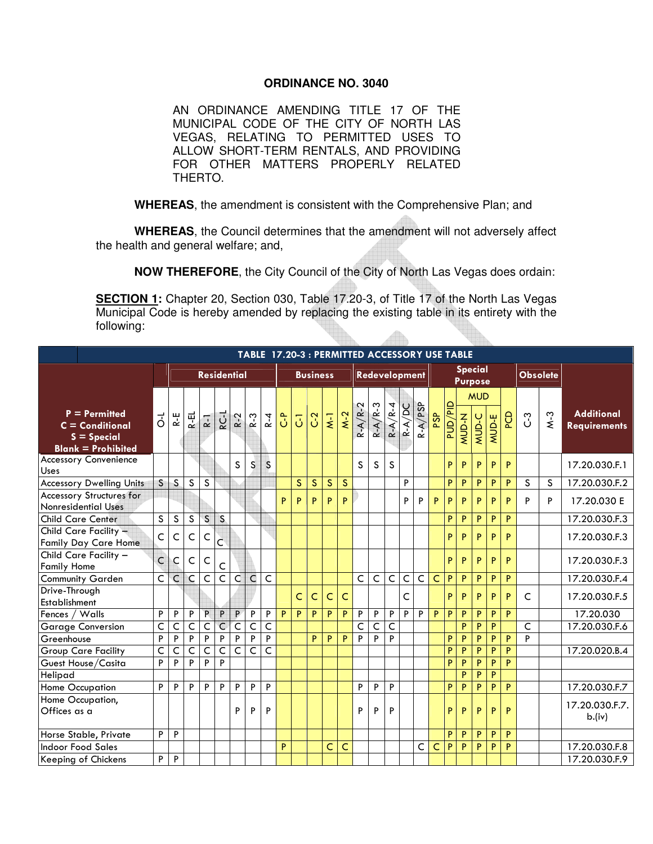## **ORDINANCE NO. 3040**

AN ORDINANCE AMENDING TITLE 17 OF THE MUNICIPAL CODE OF THE CITY OF NORTH LAS VEGAS, RELATING TO PERMITTED USES TO ALLOW SHORT-TERM RENTALS, AND PROVIDING FOR OTHER MATTERS PROPERLY RELATED THERTO.

**WHEREAS**, the amendment is consistent with the Comprehensive Plan; and

**WHEREAS**, the Council determines that the amendment will not adversely affect the health and general welfare; and,

**NOW THEREFORE**, the City Council of the City of North Las Vegas does ordain:

**SECTION 1:** Chapter 20, Section 030, Table 17.20-3, of Title 17 of the North Las Vegas Municipal Code is hereby amended by replacing the existing table in its entirety with the following:  $\sqrt{2}$ UI. Hib.

|                                                                                    | TABLE 17.20-3 : PERMITTED ACCESSORY USE TABLE |                         |                         |                         |                         |                         |                         |                         |                |                         |                |                    |                         |                |                         |                           |                         |                |                |                |       |                            |                 |            |   |       |                                          |
|------------------------------------------------------------------------------------|-----------------------------------------------|-------------------------|-------------------------|-------------------------|-------------------------|-------------------------|-------------------------|-------------------------|----------------|-------------------------|----------------|--------------------|-------------------------|----------------|-------------------------|---------------------------|-------------------------|----------------|----------------|----------------|-------|----------------------------|-----------------|------------|---|-------|------------------------------------------|
|                                                                                    | <b>Residential</b>                            |                         |                         |                         |                         |                         |                         | <b>Business</b>         |                |                         | Redevelopment  |                    |                         |                |                         | <b>Special</b><br>Purpose |                         |                |                |                |       |                            | <b>Obsolete</b> |            |   |       |                                          |
| $P = Permitted$<br>$C =$ Conditional<br>$S = Special$<br><b>Blank = Prohibited</b> | $\vec{0}$                                     | R-E                     | R-EL                    | $R-1$                   | R <sub>C-1</sub>        | $R-2$                   | $R-3$                   | $R - 4$                 | ိပ             | $\overline{d}$          | C <sub>2</sub> | $\overline{\star}$ | $M-2$                   | $R - A/R - 2$  | $R - A/R - 3$           | $R - A/R - 4$             | $R - A/DC$              | $R - A / PSP$  | PSP            | ald/and        | MUD-N | <b>MUD</b><br><b>MUD-C</b> | MUD-E           | <b>PCD</b> | ိ | $M-3$ | <b>Additional</b><br><b>Requirements</b> |
| <b>Accessory Convenience</b><br>Uses                                               |                                               |                         |                         |                         |                         | S                       | S                       | S                       |                |                         |                |                    |                         | S              | S                       | S                         |                         |                |                | P              | P     | P                          | P               | P          |   |       | 17.20.030.F.1                            |
| <b>Accessory Dwelling Units</b>                                                    | S                                             | S                       | S                       | S                       |                         |                         |                         |                         |                | $\overline{\mathsf{s}}$ | S              | $\mathsf{S}$       | $\overline{\mathsf{s}}$ |                |                         |                           | P                       |                |                | P              | P     | P                          | P               | P          | S | S     | 17.20.030.F.2                            |
| <b>Accessory Structures for</b><br><b>Nonresidential Uses</b>                      |                                               |                         |                         |                         |                         |                         |                         |                         | P.             | P                       | P              | P                  | P                       |                |                         |                           | P                       | P              | P.             | P              | P     | P                          | P               | P          | P | P     | 17.20.030 E                              |
| <b>Child Care Center</b>                                                           | $\overline{\mathsf{s}}$                       | $\overline{s}$          | $\overline{\mathsf{s}}$ | $\overline{\mathsf{s}}$ | $\overline{\mathsf{s}}$ |                         |                         |                         |                |                         |                |                    |                         |                |                         |                           |                         |                |                | P              | P     | P                          | P               | P          |   |       | 17.20.030.F.3                            |
| Child Care Facility -<br><b>Family Day Care Home</b>                               | C                                             | C                       | C                       | $\mathsf{C}$            | Č                       |                         |                         |                         |                |                         |                |                    |                         |                |                         |                           |                         |                |                | P              | P     | P                          | P               | P          |   |       | 17.20.030.F.3                            |
| Child Care Facility -<br><b>Family Home</b>                                        | $\overline{C}$                                | C                       | Ċ                       | $\mathsf{C}$            | C                       |                         |                         |                         |                |                         |                |                    |                         |                |                         |                           |                         |                |                | P              | P     | P                          | P               | P          |   |       | 17.20.030.F.3                            |
| <b>Community Garden</b>                                                            | $\overline{C}$                                | C                       | $\mathsf{C}$            | $\overline{\mathsf{C}}$ | $\overline{\mathsf{C}}$ | $\overline{C}$          | $\overline{C}$          | C                       |                |                         |                |                    |                         | $\overline{C}$ | $\overline{\mathsf{C}}$ | $\mathsf{C}$              | $\overline{\mathsf{C}}$ | $\overline{C}$ | $\overline{C}$ | $\overline{P}$ | P     | P                          | P               | P          |   |       | 17.20.030.F.4                            |
| Drive-Through<br>Establishment                                                     |                                               |                         |                         |                         |                         |                         |                         |                         |                | $\mathsf C$             | C              | C                  | C                       |                |                         |                           | C                       |                |                | P.             | P     | P                          | P               | P          | C |       | 17.20.030.F.5                            |
| Fences / Walls                                                                     | $\overline{P}$                                | $\overline{P}$          | $\overline{P}$          | $\overline{P}$          | $\overline{\mathsf{P}}$ | P                       | $\overline{P}$          | P                       | $\overline{P}$ | $\overline{P}$          | P              | P                  | P                       | $\overline{P}$ | $\overline{P}$          | $\overline{P}$            | P                       | P              | $\overline{P}$ | $\overline{P}$ | P     | P                          | $\overline{P}$  | P          |   |       | 17.20.030                                |
| <b>Garage Conversion</b>                                                           | $\overline{\mathsf{C}}$                       | $\overline{\mathsf{C}}$ | $\overline{\mathsf{C}}$ | $\overline{\mathsf{C}}$ | $\overline{\mathsf{C}}$ | $\overline{\mathsf{C}}$ | $\overline{C}$          | $\overline{\mathsf{C}}$ |                |                         |                |                    |                         | $\overline{C}$ | $\mathsf{C}$            | C                         |                         |                |                |                | P     | P                          | P               |            | C |       | 17.20.030.F.6                            |
| Greenhouse                                                                         | $\overline{P}$                                | P                       | P                       | $\overline{P}$          | P                       | $\overline{P}$          | $\overline{P}$          | P                       |                |                         | P              | P                  | P                       | P              | P                       | P                         |                         |                |                | P              | P     | P                          | P               | P          | P |       |                                          |
| <b>Group Care Facility</b>                                                         | $\overline{C}$                                | $\overline{\mathsf{C}}$ | $\overline{\mathsf{C}}$ | $\overline{C}$          | $\overline{\mathsf{C}}$ | $\overline{\mathsf{C}}$ | $\overline{\mathsf{C}}$ | $\overline{\mathsf{C}}$ |                |                         |                |                    |                         |                |                         |                           |                         |                |                | P              | P     | P                          | P               | P          |   |       | 17.20.020.B.4                            |
| Guest House/Casita                                                                 | P                                             | P                       | P                       | P                       | P                       |                         |                         |                         |                |                         |                |                    |                         |                |                         |                           |                         |                |                | P              | P     | P                          | P               | P          |   |       |                                          |
| Helipad                                                                            |                                               |                         |                         |                         |                         |                         |                         |                         |                |                         |                |                    |                         |                |                         |                           |                         |                |                |                | P     | P                          | $\overline{P}$  |            |   |       |                                          |
| Home Occupation                                                                    | P                                             | P                       | P                       | P                       | P                       | $\overline{P}$          | $\overline{P}$          | P                       |                |                         |                |                    |                         | P              | $\overline{P}$          | P                         |                         |                |                | P              | P     | P                          | P               | P          |   |       | 17.20.030.F.7                            |
| Home Occupation,<br>Offices as a                                                   |                                               |                         |                         |                         |                         | P                       | P                       | P                       |                |                         |                |                    |                         | P              | P                       | P                         |                         |                |                | P              | P     | P                          | P               | P          |   |       | 17.20.030.F.7.<br>b.(iv)                 |
| Horse Stable, Private                                                              | P                                             | P                       |                         |                         |                         |                         |                         |                         |                |                         |                |                    |                         |                |                         |                           |                         |                |                | P              | P     | P                          | P               | P          |   |       |                                          |
| <b>Indoor Food Sales</b>                                                           |                                               |                         |                         |                         |                         |                         |                         |                         | P              |                         |                | Ċ                  | C                       |                |                         |                           |                         | C              | C              | P              | P     | P                          | P               | P          |   |       | 17.20.030.F.8                            |
| Keeping of Chickens                                                                | P                                             | P                       |                         |                         |                         |                         |                         |                         |                |                         |                |                    |                         |                |                         |                           |                         |                |                |                |       |                            |                 |            |   |       | 17.20.030.F.9                            |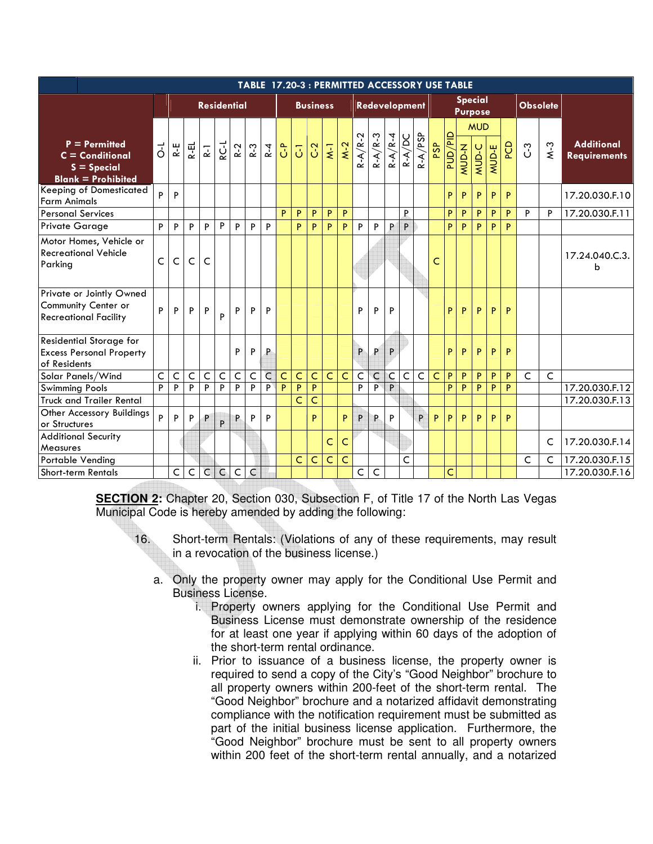|                                                                                    |                         |                    |                |                |                |                |                |                |                |                 |                | TABLE 17.20-3 : PERMITTED ACCESSORY USE TABLE |                         |              |                |                |                         |                           |                         |         |              |              |       |                 |         |              |                                          |
|------------------------------------------------------------------------------------|-------------------------|--------------------|----------------|----------------|----------------|----------------|----------------|----------------|----------------|-----------------|----------------|-----------------------------------------------|-------------------------|--------------|----------------|----------------|-------------------------|---------------------------|-------------------------|---------|--------------|--------------|-------|-----------------|---------|--------------|------------------------------------------|
|                                                                                    |                         | <b>Residential</b> |                |                |                |                |                |                |                | <b>Business</b> |                | Redevelopment                                 |                         |              |                |                |                         | Special<br><b>Purpose</b> |                         |         |              |              |       | <b>Obsolete</b> |         |              |                                          |
|                                                                                    |                         |                    |                |                |                |                |                |                |                |                 |                |                                               |                         |              |                |                |                         |                           |                         |         |              | <b>MUD</b>   |       |                 |         |              |                                          |
| $P = Permitted$<br>$C =$ Conditional<br>$S = Special$<br><b>Blank = Prohibited</b> | $\vec{c}$               | R-E                | $R$ -EL        | $\overline{k}$ | RC-L           | $R - 2$        | $R-3$          | $R - 4$        | $\tilde{c}$    | $\overline{5}$  | C <sub>2</sub> | $\overline{\mathbf{v}}$                       | $\overline{M-2}$        | $R-A/R-2$    | $R - A/R - 3$  | $R - A/R - 4$  | $R - A/DC$              | $R - A/PSP$               | PSP                     | ald/and | N-QOW        | MUD-C        | MUD-E | <b>PCD</b>      | $C - 3$ | $M-3$        | <b>Additional</b><br><b>Requirements</b> |
| <b>Keeping of Domesticated</b><br><b>Farm Animals</b>                              | P                       | P                  |                |                |                |                |                |                |                |                 |                |                                               |                         |              |                |                |                         |                           |                         | P       | P            | P            | P     | P               |         |              | 17.20.030.F.10                           |
| <b>Personal Services</b>                                                           |                         |                    |                |                |                |                |                |                | P              | P               | P              | $\mathsf{P}$                                  | P                       |              |                |                | P                       |                           |                         | P       | $\mathsf{P}$ | $\, {\sf P}$ | P     | $\mathsf{P}$    | P       | $\mathsf{P}$ | 17.20.030.F.11                           |
| <b>Private Garage</b>                                                              | P                       | P                  | P              | P              | P              | $\mathsf P$    | P              | P              |                | P               | P              | P                                             | P                       | P            | P              | P              | P                       |                           |                         | P       | P            | P            | P     | P               |         |              |                                          |
| Motor Homes, Vehicle or<br><b>Recreational Vehicle</b><br>Parking                  | Ċ                       | Ċ                  | $\mathsf C$    | Ċ              |                |                |                |                |                |                 |                |                                               |                         |              |                |                |                         |                           | Ċ                       |         |              |              |       |                 |         |              | 17.24.040.C.3.<br>b                      |
| Private or Jointly Owned<br>Community Center or<br><b>Recreational Facility</b>    | P                       | P                  | $\sf P$        | P              | P              | P              | P              | P              |                |                 |                |                                               |                         | P            | P              | P              |                         |                           |                         | P       | P            | P            | P     | P               |         |              |                                          |
| Residential Storage for<br><b>Excess Personal Property</b><br>of Residents         |                         |                    |                |                |                | P              | P              | P              |                |                 |                |                                               |                         | P            | P              | P              |                         |                           |                         | P       | P            | P            | P     | P               |         |              |                                          |
| Solar Panels/Wind                                                                  | $\overline{\mathsf{C}}$ | $\overline{C}$     | $\overline{C}$ | $\overline{C}$ | $\overline{C}$ | $\overline{C}$ | $\overline{C}$ | $\overline{C}$ | $\overline{C}$ | Ċ               | Ċ              | $\overline{C}$                                | $\overline{C}$          | $\mathsf{C}$ | $\overline{C}$ | $\overline{C}$ | $\overline{C}$          | $\overline{C}$            | $\overline{\mathsf{C}}$ | P       | P            | P            | P     | P               | C       | $\mathsf{C}$ |                                          |
| <b>Swimming Pools</b>                                                              | P                       | P                  | $\overline{P}$ | $\overline{P}$ | $\overline{P}$ | $\overline{P}$ | $\overline{P}$ | $\overline{P}$ | P              | P               | P              |                                               |                         | P            | P              | P              |                         |                           |                         | P       | P            | P            | P     | P               |         |              | 17.20.030.F.12                           |
| <b>Truck and Trailer Rental</b>                                                    |                         |                    |                |                |                |                |                |                |                | Ċ               | Ċ              |                                               |                         |              |                |                |                         |                           |                         |         |              |              |       |                 |         |              | 17.20.030.F.13                           |
| Other Accessory Buildings<br>or Structures                                         | P                       | P                  | P              | P              | P              | P              | P              | P              |                |                 | Þ.             |                                               | P                       | P            | P              | P              |                         | P                         | P.                      | P       | P            | P            | P     | P               |         |              |                                          |
| <b>Additional Security</b><br>Measures                                             |                         |                    |                |                |                |                |                |                |                |                 |                | C                                             | C                       |              |                |                |                         |                           |                         |         |              |              |       |                 |         | $\mathsf{C}$ | 17.20.030.F.14                           |
| Portable Vending                                                                   |                         |                    |                |                |                |                |                |                |                | Ċ               | $\mathsf{C}$   | $\overline{C}$                                | $\overline{\mathsf{C}}$ |              |                |                | $\overline{\mathsf{C}}$ |                           |                         |         |              |              |       |                 | C       | $\mathsf{C}$ | 17.20.030.F.15                           |
| Short-term Rentals                                                                 |                         | C                  | $\mathsf C$    | $\overline{C}$ | $\mathsf{C}$   | $\mathsf C$    | C              |                |                |                 |                |                                               |                         | $\mathsf{C}$ | $\mathsf{C}$   |                |                         |                           |                         | Ċ       |              |              |       |                 |         |              | 17.20.030.F.16                           |

**SECTION 2:** Chapter 20, Section 030, Subsection F, of Title 17 of the North Las Vegas Municipal Code is hereby amended by adding the following:

- 16. Short-term Rentals: (Violations of any of these requirements, may result in a revocation of the business license.)
	- a. Only the property owner may apply for the Conditional Use Permit and Business License.
		- i. Property owners applying for the Conditional Use Permit and Business License must demonstrate ownership of the residence for at least one year if applying within 60 days of the adoption of the short-term rental ordinance.
		- ii. Prior to issuance of a business license, the property owner is required to send a copy of the City's "Good Neighbor" brochure to all property owners within 200-feet of the short-term rental. The "Good Neighbor" brochure and a notarized affidavit demonstrating compliance with the notification requirement must be submitted as part of the initial business license application. Furthermore, the "Good Neighbor" brochure must be sent to all property owners within 200 feet of the short-term rental annually, and a notarized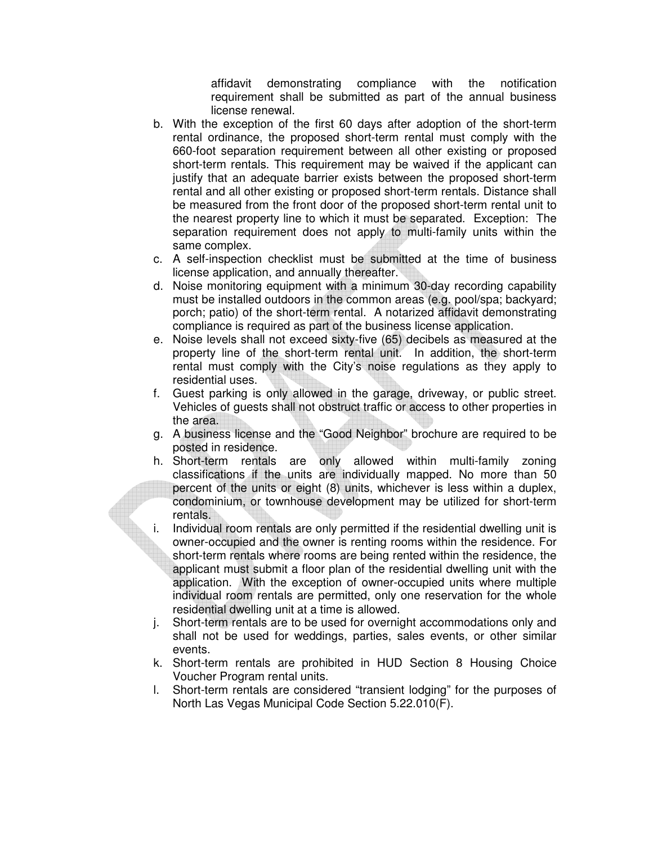affidavit demonstrating compliance with the notification requirement shall be submitted as part of the annual business license renewal.

- b. With the exception of the first 60 days after adoption of the short-term rental ordinance, the proposed short-term rental must comply with the 660-foot separation requirement between all other existing or proposed short-term rentals. This requirement may be waived if the applicant can justify that an adequate barrier exists between the proposed short-term rental and all other existing or proposed short-term rentals. Distance shall be measured from the front door of the proposed short-term rental unit to the nearest property line to which it must be separated. Exception: The separation requirement does not apply to multi-family units within the same complex.
- c. A self-inspection checklist must be submitted at the time of business license application, and annually thereafter.
- d. Noise monitoring equipment with a minimum 30-day recording capability must be installed outdoors in the common areas (e.g. pool/spa; backyard; porch; patio) of the short-term rental. A notarized affidavit demonstrating compliance is required as part of the business license application.
- e. Noise levels shall not exceed sixty-five (65) decibels as measured at the property line of the short-term rental unit. In addition, the short-term rental must comply with the City's noise regulations as they apply to residential uses.
- f. Guest parking is only allowed in the garage, driveway, or public street. Vehicles of guests shall not obstruct traffic or access to other properties in the area.
- g. A business license and the "Good Neighbor" brochure are required to be posted in residence.
- h. Short-term rentals are only allowed within multi-family zoning classifications if the units are individually mapped. No more than 50 percent of the units or eight (8) units, whichever is less within a duplex, condominium, or townhouse development may be utilized for short-term rentals.
- i. Individual room rentals are only permitted if the residential dwelling unit is owner-occupied and the owner is renting rooms within the residence. For short-term rentals where rooms are being rented within the residence, the applicant must submit a floor plan of the residential dwelling unit with the application. With the exception of owner-occupied units where multiple individual room rentals are permitted, only one reservation for the whole residential dwelling unit at a time is allowed.
- j. Short-term rentals are to be used for overnight accommodations only and shall not be used for weddings, parties, sales events, or other similar events.
- k. Short-term rentals are prohibited in HUD Section 8 Housing Choice Voucher Program rental units.
- l. Short-term rentals are considered "transient lodging" for the purposes of North Las Vegas Municipal Code Section 5.22.010(F).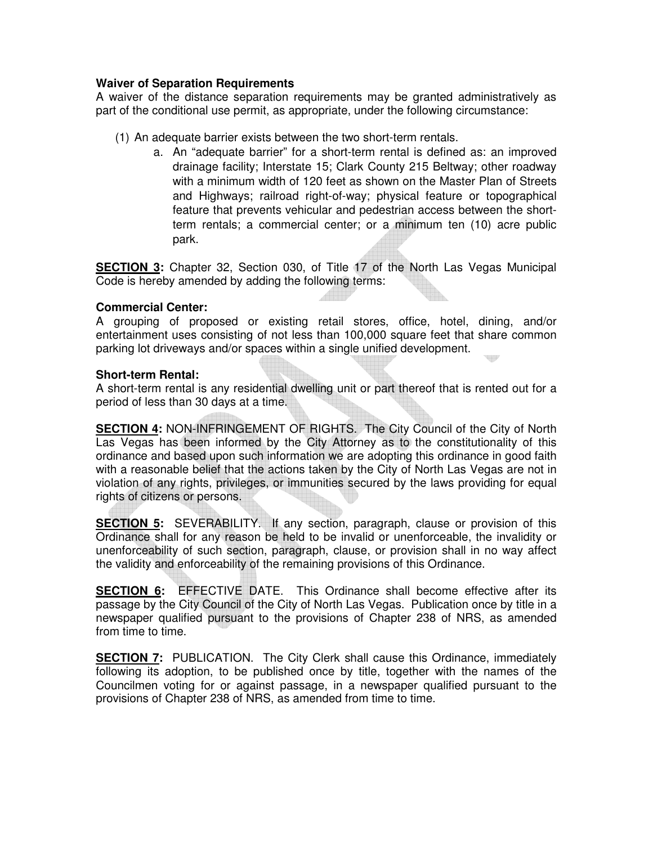## **Waiver of Separation Requirements**

A waiver of the distance separation requirements may be granted administratively as part of the conditional use permit, as appropriate, under the following circumstance:

- (1) An adequate barrier exists between the two short-term rentals.
	- a. An "adequate barrier" for a short-term rental is defined as: an improved drainage facility; Interstate 15; Clark County 215 Beltway; other roadway with a minimum width of 120 feet as shown on the Master Plan of Streets and Highways; railroad right-of-way; physical feature or topographical feature that prevents vehicular and pedestrian access between the shortterm rentals; a commercial center; or a minimum ten (10) acre public park.

**SECTION 3:** Chapter 32, Section 030, of Title 17 of the North Las Vegas Municipal Code is hereby amended by adding the following terms:

## **Commercial Center:**

A grouping of proposed or existing retail stores, office, hotel, dining, and/or entertainment uses consisting of not less than 100,000 square feet that share common parking lot driveways and/or spaces within a single unified development.

## **Short-term Rental:**

A short-term rental is any residential dwelling unit or part thereof that is rented out for a period of less than 30 days at a time.

**SECTION 4:** NON-INFRINGEMENT OF RIGHTS. The City Council of the City of North Las Vegas has been informed by the City Attorney as to the constitutionality of this ordinance and based upon such information we are adopting this ordinance in good faith with a reasonable belief that the actions taken by the City of North Las Vegas are not in violation of any rights, privileges, or immunities secured by the laws providing for equal rights of citizens or persons.

**SECTION 5:** SEVERABILITY. If any section, paragraph, clause or provision of this Ordinance shall for any reason be held to be invalid or unenforceable, the invalidity or unenforceability of such section, paragraph, clause, or provision shall in no way affect the validity and enforceability of the remaining provisions of this Ordinance.

**SECTION 6:** EFFECTIVE DATE. This Ordinance shall become effective after its passage by the City Council of the City of North Las Vegas. Publication once by title in a newspaper qualified pursuant to the provisions of Chapter 238 of NRS, as amended from time to time.

**SECTION 7:** PUBLICATION. The City Clerk shall cause this Ordinance, immediately following its adoption, to be published once by title, together with the names of the Councilmen voting for or against passage, in a newspaper qualified pursuant to the provisions of Chapter 238 of NRS, as amended from time to time.